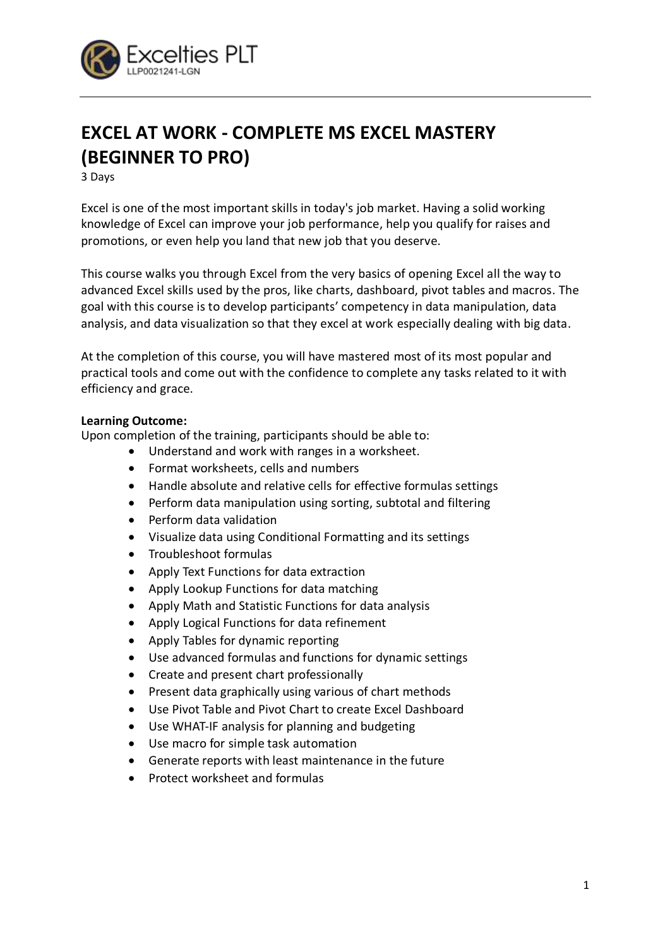

# **EXCEL AT WORK - COMPLETE MS EXCEL MASTERY (BEGINNER TO PRO)**

3 Days

Excel is one of the most important skills in today's job market. Having a solid working knowledge of Excel can improve your job performance, help you qualify for raises and promotions, or even help you land that new job that you deserve.

This course walks you through Excel from the very basics of opening Excel all the way to advanced Excel skills used by the pros, like charts, dashboard, pivot tables and macros. The goal with this course is to develop participants' competency in data manipulation, data analysis, and data visualization so that they excel at work especially dealing with big data.

At the completion of this course, you will have mastered most of its most popular and practical tools and come out with the confidence to complete any tasks related to it with efficiency and grace.

# **Learning Outcome:**

Upon completion of the training, participants should be able to:

- Understand and work with ranges in a worksheet.
- Format worksheets, cells and numbers
- Handle absolute and relative cells for effective formulas settings
- Perform data manipulation using sorting, subtotal and filtering
- Perform data validation
- Visualize data using Conditional Formatting and its settings
- Troubleshoot formulas
- Apply Text Functions for data extraction
- Apply Lookup Functions for data matching
- Apply Math and Statistic Functions for data analysis
- Apply Logical Functions for data refinement
- Apply Tables for dynamic reporting
- Use advanced formulas and functions for dynamic settings
- Create and present chart professionally
- Present data graphically using various of chart methods
- Use Pivot Table and Pivot Chart to create Excel Dashboard
- Use WHAT-IF analysis for planning and budgeting
- Use macro for simple task automation
- Generate reports with least maintenance in the future
- Protect worksheet and formulas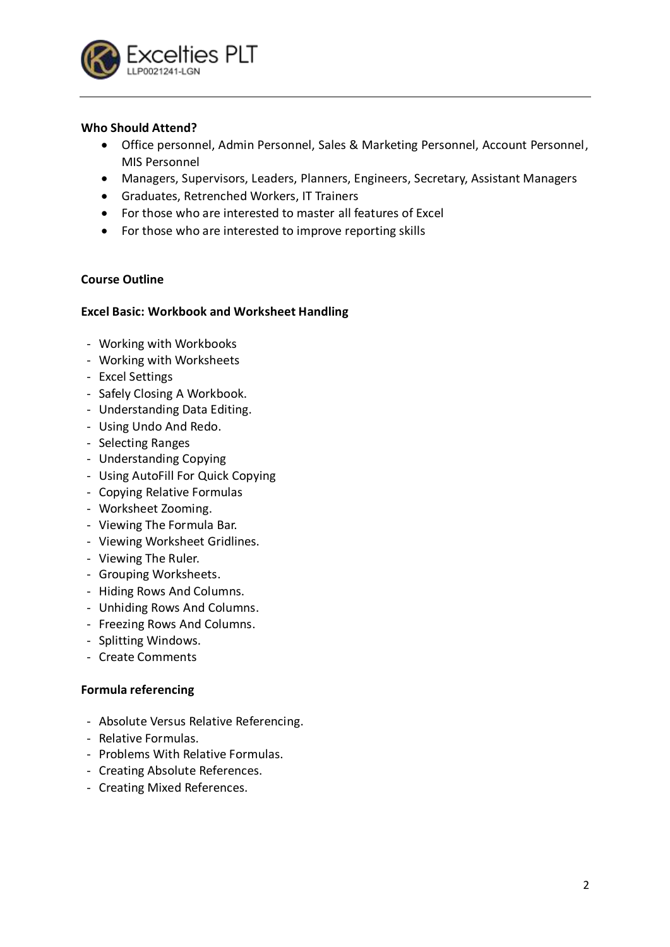

# **Who Should Attend?**

- Office personnel, Admin Personnel, Sales & Marketing Personnel, Account Personnel, MIS Personnel
- Managers, Supervisors, Leaders, Planners, Engineers, Secretary, Assistant Managers
- Graduates, Retrenched Workers, IT Trainers
- For those who are interested to master all features of Excel
- For those who are interested to improve reporting skills

# **Course Outline**

#### **Excel Basic: Workbook and Worksheet Handling**

- Working with Workbooks
- Working with Worksheets
- Excel Settings
- Safely Closing A Workbook.
- Understanding Data Editing.
- Using Undo And Redo.
- Selecting Ranges
- Understanding Copying
- Using AutoFill For Quick Copying
- Copying Relative Formulas
- Worksheet Zooming.
- Viewing The Formula Bar.
- Viewing Worksheet Gridlines.
- Viewing The Ruler.
- Grouping Worksheets.
- Hiding Rows And Columns.
- Unhiding Rows And Columns.
- Freezing Rows And Columns.
- Splitting Windows.
- Create Comments

# **Formula referencing**

- Absolute Versus Relative Referencing.
- Relative Formulas.
- Problems With Relative Formulas.
- Creating Absolute References.
- Creating Mixed References.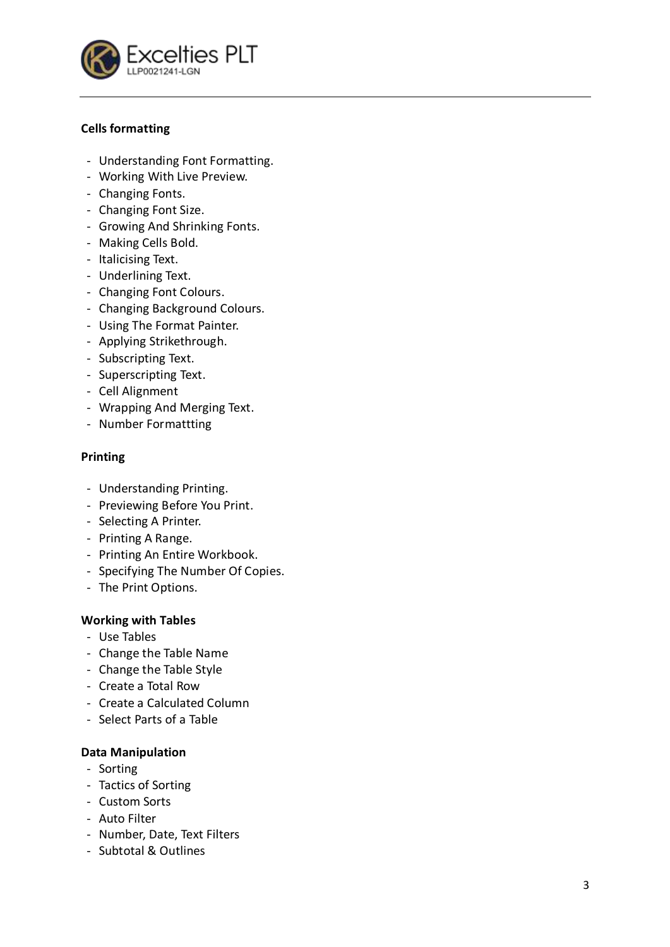

# **Cells formatting**

- Understanding Font Formatting.
- Working With Live Preview.
- Changing Fonts.
- Changing Font Size.
- Growing And Shrinking Fonts.
- Making Cells Bold.
- Italicising Text.
- Underlining Text.
- Changing Font Colours.
- Changing Background Colours.
- Using The Format Painter.
- Applying Strikethrough.
- Subscripting Text.
- Superscripting Text.
- Cell Alignment
- Wrapping And Merging Text.
- Number Formattting

# **Printing**

- Understanding Printing.
- Previewing Before You Print.
- Selecting A Printer.
- Printing A Range.
- Printing An Entire Workbook.
- Specifying The Number Of Copies.
- The Print Options.

# **Working with Tables**

- Use Tables
- Change the Table Name
- Change the Table Style
- Create a Total Row
- Create a Calculated Column
- Select Parts of a Table

# **Data Manipulation**

- Sorting
- Tactics of Sorting
- Custom Sorts
- Auto Filter
- Number, Date, Text Filters
- Subtotal & Outlines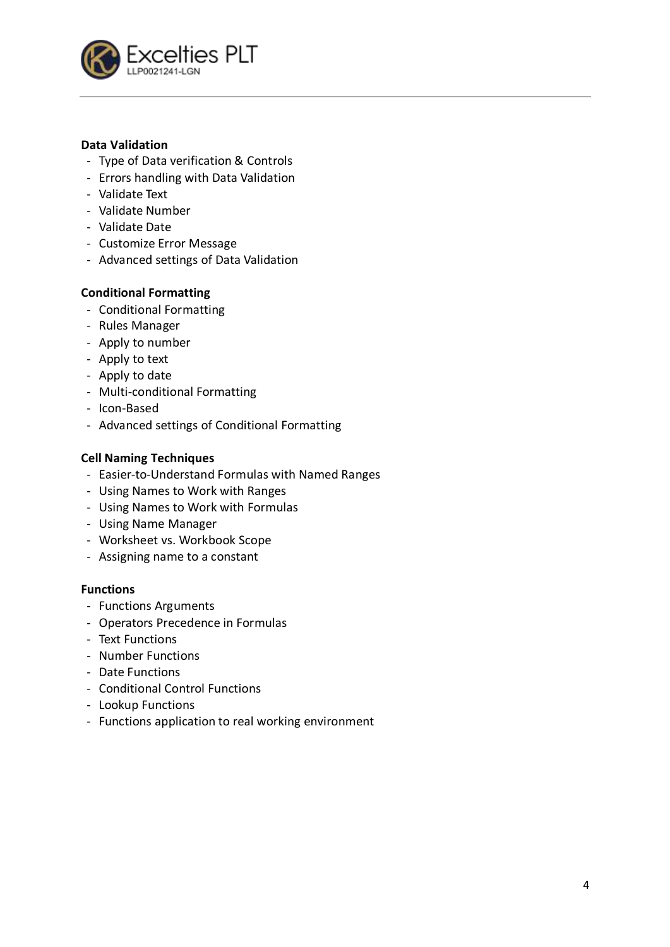

# **Data Validation**

- Type of Data verification & Controls
- Errors handling with Data Validation
- Validate Text
- Validate Number
- Validate Date
- Customize Error Message
- Advanced settings of Data Validation

# **Conditional Formatting**

- Conditional Formatting
- Rules Manager
- Apply to number
- Apply to text
- Apply to date
- Multi-conditional Formatting
- Icon-Based
- Advanced settings of Conditional Formatting

#### **Cell Naming Techniques**

- Easier-to-Understand Formulas with Named Ranges
- Using Names to Work with Ranges
- Using Names to Work with Formulas
- Using Name Manager
- Worksheet vs. Workbook Scope
- Assigning name to a constant

#### **Functions**

- Functions Arguments
- Operators Precedence in Formulas
- Text Functions
- Number Functions
- Date Functions
- Conditional Control Functions
- Lookup Functions
- Functions application to real working environment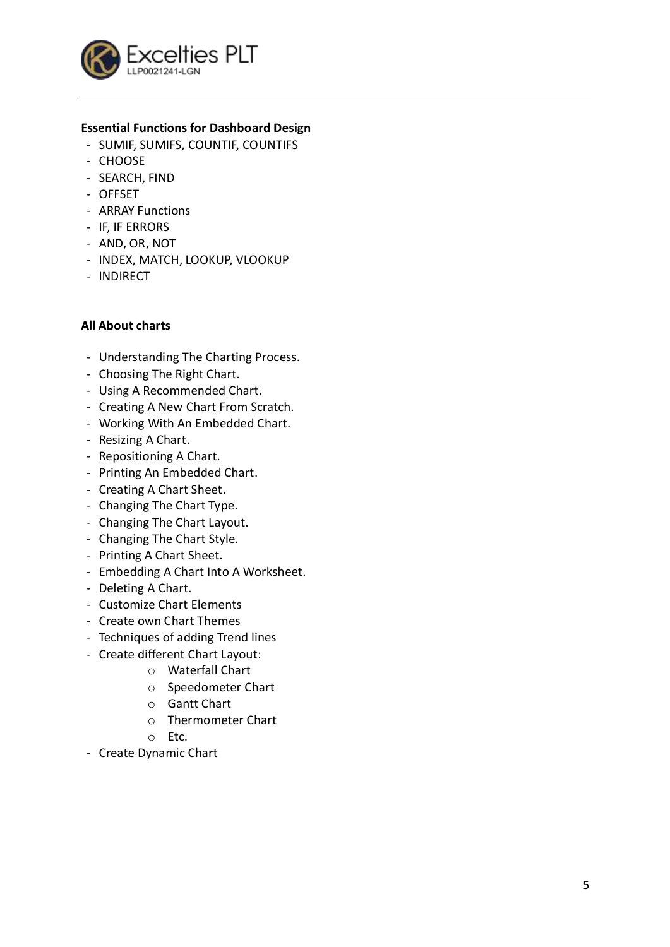

# **Essential Functions for Dashboard Design**

- SUMIF, SUMIFS, COUNTIF, COUNTIFS
- CHOOSE
- SEARCH, FIND
- OFFSET
- ARRAY Functions
- IF, IF ERRORS
- AND, OR, NOT
- INDEX, MATCH, LOOKUP, VLOOKUP
- INDIRECT

#### **All About charts**

- Understanding The Charting Process.
- Choosing The Right Chart.
- Using A Recommended Chart.
- Creating A New Chart From Scratch.
- Working With An Embedded Chart.
- Resizing A Chart.
- Repositioning A Chart.
- Printing An Embedded Chart.
- Creating A Chart Sheet.
- Changing The Chart Type.
- Changing The Chart Layout.
- Changing The Chart Style.
- Printing A Chart Sheet.
- Embedding A Chart Into A Worksheet.
- Deleting A Chart.
- Customize Chart Elements
- Create own Chart Themes
- Techniques of adding Trend lines
- Create different Chart Layout:
	- o Waterfall Chart
	- o Speedometer Chart
	- o Gantt Chart
	- o Thermometer Chart
	- o Etc.
- Create Dynamic Chart